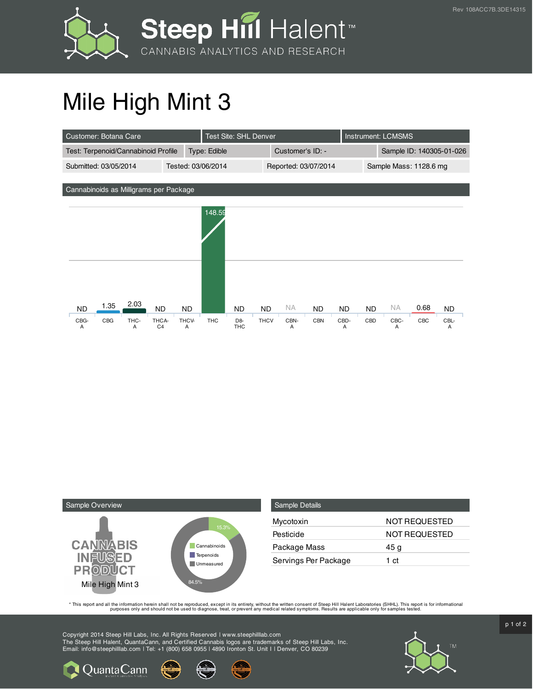



## Mile High Mint 3

| Customer: Botana Care                                                                              |                         |                    | Test Site: SHL Denver                     |                          |                      |                         |                        | <b>Instrument: LCMSMS</b> |                        |             |                        |  |
|----------------------------------------------------------------------------------------------------|-------------------------|--------------------|-------------------------------------------|--------------------------|----------------------|-------------------------|------------------------|---------------------------|------------------------|-------------|------------------------|--|
| Test: Terpenoid/Cannabinoid Profile                                                                |                         | Type: Edible       |                                           |                          | Customer's ID: -     |                         |                        | Sample ID: 140305-01-026  |                        |             |                        |  |
| Submitted: 03/05/2014                                                                              |                         | Tested: 03/06/2014 |                                           |                          | Reported: 03/07/2014 |                         |                        | Sample Mass: 1128.6 mg    |                        |             |                        |  |
| Cannabinoids as Milligrams per Package                                                             |                         |                    |                                           |                          |                      |                         |                        |                           |                        |             |                        |  |
|                                                                                                    |                         | 148.59             |                                           |                          |                      |                         |                        |                           |                        |             |                        |  |
| 2.03<br>1.35<br><b>ND</b><br><b>ND</b><br>CBG<br>CBG-<br>THC-<br>THCA-<br>C <sub>4</sub><br>A<br>A | <b>ND</b><br>THCV-<br>A | <b>THC</b>         | <b>ND</b><br>D <sub>8</sub><br><b>THC</b> | <b>ND</b><br><b>THCV</b> | NA.<br>CBN-<br>Α     | <b>ND</b><br><b>CBN</b> | <b>ND</b><br>CBD-<br>A | ND.<br>CBD                | <b>NA</b><br>CBC-<br>A | 0.68<br>CBC | <b>ND</b><br>CBL-<br>А |  |



**Q**uantaCann

| <b>Sample Details</b> |                      |
|-----------------------|----------------------|
| Mycotoxin             | NOT REQUESTED        |
| Pesticide             | <b>NOT REQUESTED</b> |
| Package Mass          | 45 g                 |
| Servings Per Package  | 1 ct                 |

This report and all the information herein shall not be reporduced, except in its entirety, without the written consent of Steep Hill Halent Laboratories (SHHL). This report is for informational all the instance, treat, or

Copyright 2014 Steep Hill Labs, Inc. All Rights Reserved | www.steephilllab.com The Steep Hill Halent, QuantaCann, and Certified Cannabis logos are trademarks of Steep Hill Labs, Inc. Email: info@steephilllab.com | Tel: +1 (800) 658 0955 | 4890 Ironton St. Unit I | Denver, CO 80239